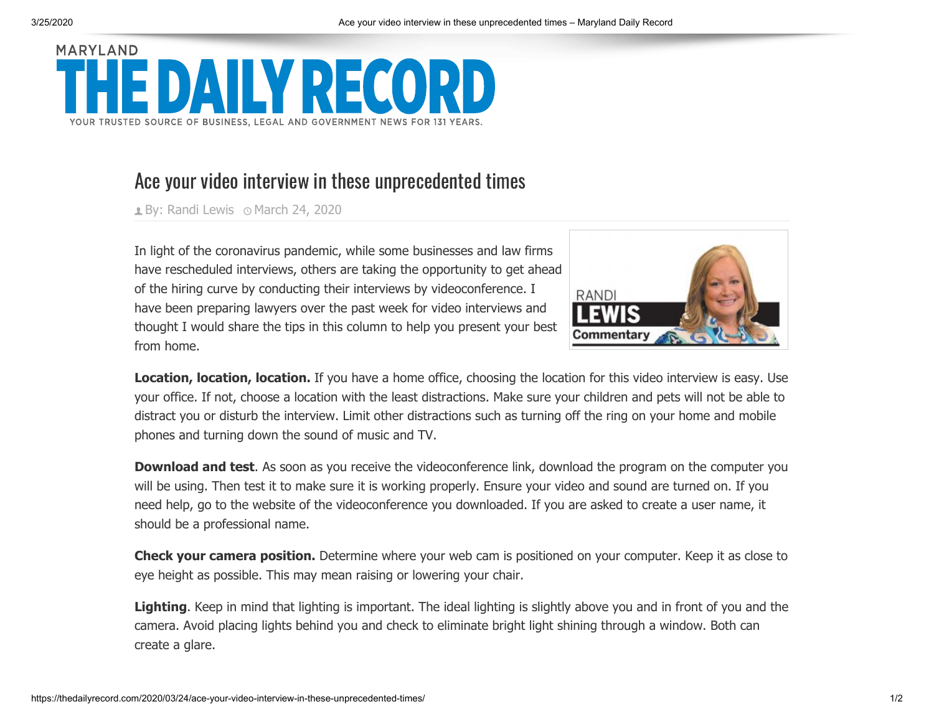## **MARYLAND** V PECOPI YOUR TRUSTED SOURCE OF BUSINESS, LEGAL AND GOVERNMENT NEWS FOR 131 YEARS

## Ace your video interview in these unprecedented times

**By: [Randi Lewis](https://thedailyrecord.com/author/randilewis/) 
IDMarch 24, 2020** 



In light of the coronavirus pandemic, while some businesses and law firms have rescheduled interviews, others are taking the opportunity to get ahead of the hiring curve by conducting their interviews by videoconference. I have been preparing lawyers over the past week for video interviews and thought I would share the tips in this column to help you present your best from home.

**Location, location, location.** If you have a home office, choosing the location for this video interview is easy. Use your office. If not, choose a location with the least distractions. Make sure your children and pets will not be able to distract you or disturb the interview. Limit other distractions such as turning off the ring on your home and mobile phones and turning down the sound of music and TV.

**Download and test**. As soon as you receive the videoconference link, download the program on the computer you will be using. Then test it to make sure it is working properly. Ensure your video and sound are turned on. If you need help, go to the website of the videoconference you downloaded. If you are asked to create a user name, it should be a professional name.

**Check your camera position.** Determine where your web cam is positioned on your computer. Keep it as close to eye height as possible. This may mean raising or lowering your chair.

**Lighting**. Keep in mind that lighting is important. The ideal lighting is slightly above you and in front of you and the camera. Avoid placing lights behind you and check to eliminate bright light shining through a window. Both can create a glare.